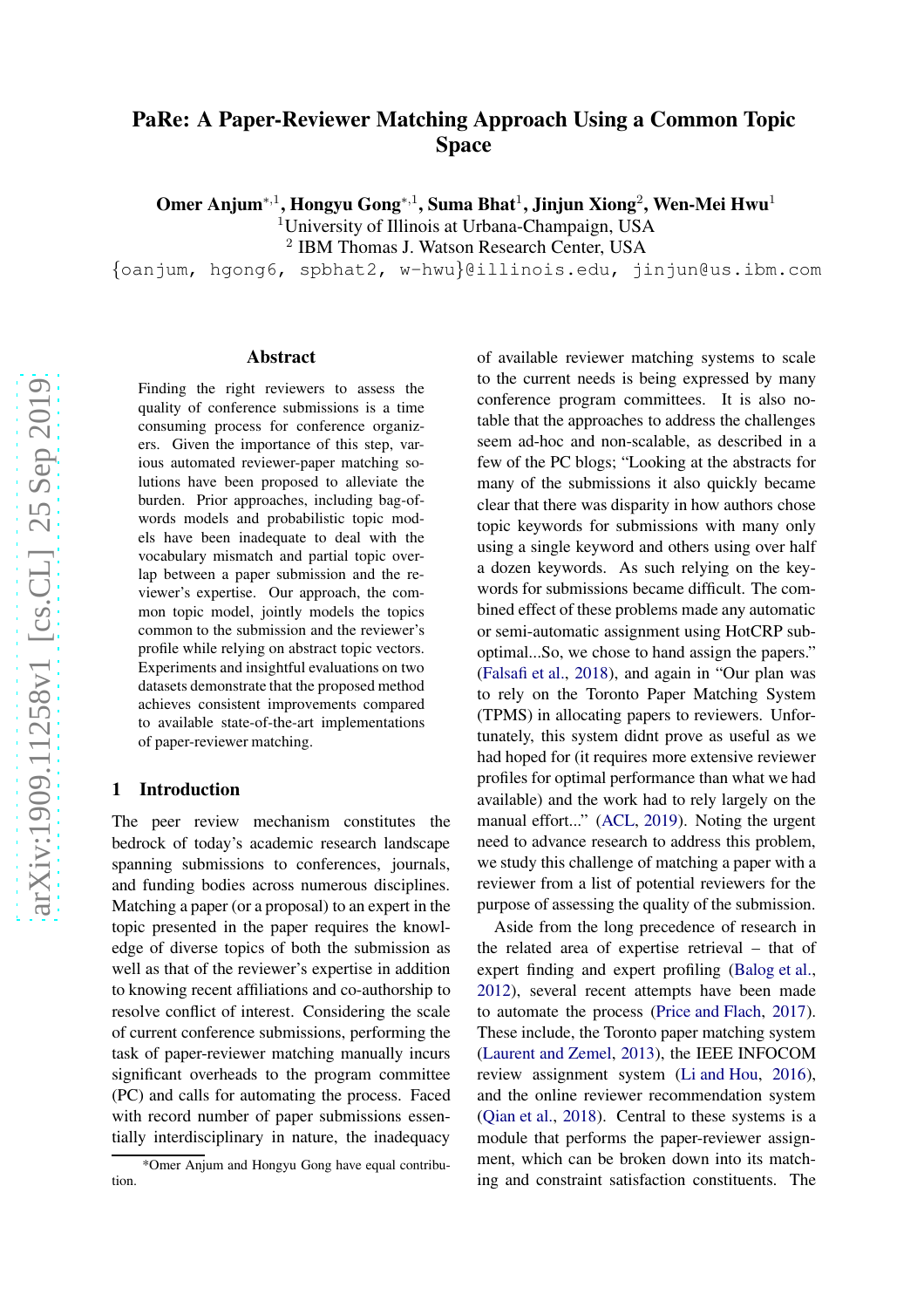# PaRe: A Paper-Reviewer Matching Approach Using a Common Topic Space

Omer Anjum $^{*,1}$ , Hongyu Gong $^{*,1}$ , Suma Bhat $^1$ , Jinjun Xiong $^2$ , Wen-Mei Hwu $^1$ 

<sup>1</sup>University of Illinois at Urbana-Champaign, USA

<sup>2</sup> IBM Thomas J. Watson Research Center, USA

{oanjum, hgong6, spbhat2, w-hwu }@illinois.edu, jinjun@us.ibm.com

#### Abstract

Finding the right reviewers to assess the quality of conference submissions is a time consuming process for conference organizers. Given the importance of this step, various automated reviewer-paper matching solutions have been proposed to alleviate the burden. Prior approaches, including bag-ofwords models and probabilistic topic models have been inadequate to deal with the vocabulary mismatch and partial topic overlap between a paper submission and the reviewer's expertise. Our approach, the common topic model, jointly models the topics common to the submission and the reviewer's profile while relying on abstract topic vectors. Experiments and insightful evaluations on two datasets demonstrate that the proposed method achieves consistent improvements compared to available state-of-the-art implementations of paper-reviewer matching.

### 1 Introduction

The peer review mechanism constitutes the bedrock of today's academic research landscape spanning submissions to conferences, journals, and funding bodies across numerous disciplines. Matching a paper (or a proposal) to an expert in the topic presented in the paper requires the knowledge of diverse topics of both the submission as well as that of the reviewer's expertise in addition to knowing recent affiliations and co-authorship to resolve conflict of interest. Considering the scale of current conference submissions, performing the task of paper-reviewer matching manually incurs significant overheads to the program committee (PC) and calls for automating the process. Faced with record number of paper submissions essentially interdisciplinary in nature, the inadequacy of available reviewer matching systems to scale to the current needs is being expressed by many conference program committees. It is also notable that the approaches to address the challenges seem ad-hoc and non-scalable, as described in a few of the PC blogs; "Looking at the abstracts for many of the submissions it also quickly became clear that there was disparity in how authors chose topic keywords for submissions with many only using a single keyword and others using over half a dozen keywords. As such relying on the keywords for submissions became difficult. The combined effect of these problems made any automatic or semi-automatic assignment using HotCRP suboptimal...So, we chose to hand assign the papers." [\(Falsafi et al.,](#page-9-0) [2018\)](#page-9-0), and again in "Our plan was to rely on the Toronto Paper Matching System (TPMS) in allocating papers to reviewers. Unfortunately, this system didnt prove as useful as we had hoped for (it requires more extensive reviewer profiles for optimal performance than what we had available) and the work had to rely largely on the manual effort..." [\(ACL](#page-8-0) , [2019](#page-8-0)). Noting the urgent need to advance research to address this problem, we study this challenge of matching a paper with a reviewer from a list of potential reviewers for the purpose of assessing the quality of the submission.

Aside from the long precedence of research in the related area of expertise retrieval – that of expert finding and expert profiling [\(Balog et al.](#page-8-1) , [2012](#page-8-1)), several recent attempts have been made to automate the process [\(Price and Flach](#page-10-0) , [2017](#page-10-0)). These include, the Toronto paper matching system [\(Laurent and Zemel,](#page-9-1) [2013\)](#page-9-1), the IEEE INFOCOM review assignment system [\(Li and Hou](#page-9-2) , [2016](#page-9-2)), and the online reviewer recommendation system [\(Qian et al.](#page-10-1), [2018](#page-10-1)). Central to these systems is a module that performs the paper-reviewer assignment, which can be broken down into its matching and constraint satisfaction constituents. The

<sup>\*</sup>Omer Anjum and Hongyu Gong have equal contribution.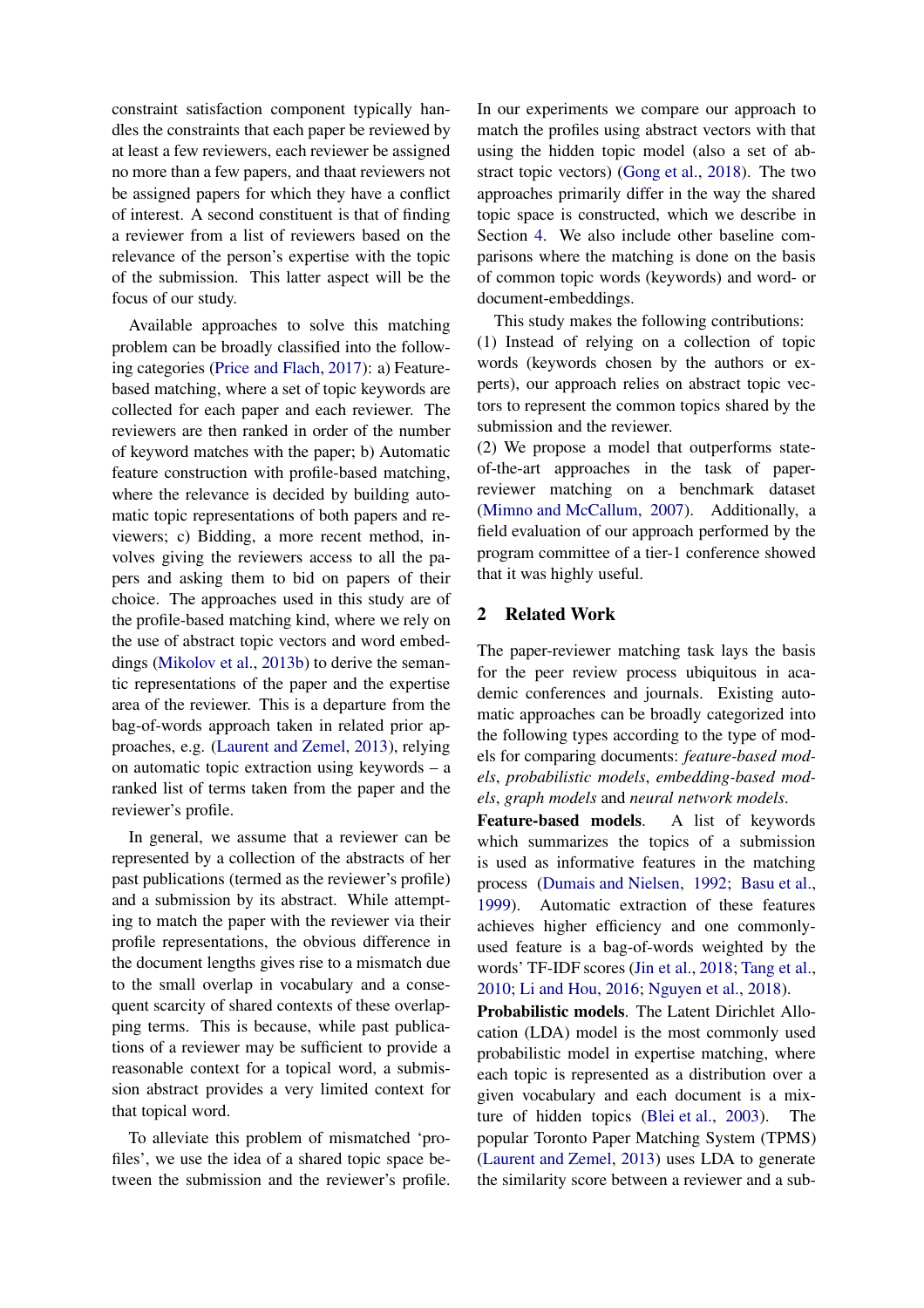constraint satisfaction component typically handles the constraints that each paper be reviewed by at least a few reviewers, each reviewer be assigned no more than a few papers, and thaat reviewers not be assigned papers for which they have a conflict of interest. A second constituent is that of finding a reviewer from a list of reviewers based on the relevance of the person's expertise with the topic of the submission. This latter aspect will be the focus of our study.

Available approaches to solve this matching problem can be broadly classified into the following categories [\(Price and Flach](#page-10-0), [2017](#page-10-0)): a) Featurebased matching, where a set of topic keywords are collected for each paper and each reviewer. The reviewers are then ranked in order of the number of keyword matches with the paper; b) Automatic feature construction with profile-based matching, where the relevance is decided by building automatic topic representations of both papers and reviewers; c) Bidding, a more recent method, involves giving the reviewers access to all the papers and asking them to bid on papers of their choice. The approaches used in this study are of the profile-based matching kind, where we rely on the use of abstract topic vectors and word embeddings [\(Mikolov et al.](#page-9-3), [2013b\)](#page-9-3) to derive the semantic representations of the paper and the expertise area of the reviewer. This is a departure from the bag-of-words approach taken in related prior approaches, e.g. [\(Laurent and Zemel,](#page-9-1) [2013](#page-9-1)), relying on automatic topic extraction using keywords – a ranked list of terms taken from the paper and the reviewer's profile.

In general, we assume that a reviewer can be represented by a collection of the abstracts of her past publications (termed as the reviewer's profile) and a submission by its abstract. While attempting to match the paper with the reviewer via their profile representations, the obvious difference in the document lengths gives rise to a mismatch due to the small overlap in vocabulary and a consequent scarcity of shared contexts of these overlapping terms. This is because, while past publications of a reviewer may be sufficient to provide a reasonable context for a topical word, a submission abstract provides a very limited context for that topical word.

To alleviate this problem of mismatched 'profiles', we use the idea of a shared topic space between the submission and the reviewer's profile. In our experiments we compare our approach to match the profiles using abstract vectors with that using the hidden topic model (also a set of abstract topic vectors) [\(Gong et al.,](#page-9-4) [2018](#page-9-4)). The two approaches primarily differ in the way the shared topic space is constructed, which we describe in Section [4.](#page-3-0) We also include other baseline comparisons where the matching is done on the basis of common topic words (keywords) and word- or document-embeddings.

This study makes the following contributions:

(1) Instead of relying on a collection of topic words (keywords chosen by the authors or experts), our approach relies on abstract topic vectors to represent the common topics shared by the submission and the reviewer.

(2) We propose a model that outperforms stateof-the-art approaches in the task of paperreviewer matching on a benchmark dataset [\(Mimno and McCallum,](#page-9-5) [2007](#page-9-5)). Additionally, a field evaluation of our approach performed by the program committee of a tier-1 conference showed that it was highly useful.

### 2 Related Work

The paper-reviewer matching task lays the basis for the peer review process ubiquitous in academic conferences and journals. Existing automatic approaches can be broadly categorized into the following types according to the type of models for comparing documents: *feature-based models*, *probabilistic models*, *embedding-based models*, *graph models* and *neural network models*.

Feature-based models. A list of keywords which summarizes the topics of a submission is used as informative features in the matching process [\(Dumais and Nielsen,](#page-9-6) [1992](#page-9-6); [Basu et al.,](#page-8-2) [1999](#page-8-2)). Automatic extraction of these features achieves higher efficiency and one commonlyused feature is a bag-of-words weighted by the words' TF-IDF scores [\(Jin et al.](#page-9-7), [2018](#page-9-7); [Tang et al.,](#page-10-2) [2010](#page-10-2); [Li and Hou](#page-9-2), [2016;](#page-9-2) [Nguyen et al.](#page-9-8), [2018](#page-9-8)).

Probabilistic models. The Latent Dirichlet Allocation (LDA) model is the most commonly used probabilistic model in expertise matching, where each topic is represented as a distribution over a given vocabulary and each document is a mixture of hidden topics [\(Blei et al.,](#page-9-9) [2003](#page-9-9)). The popular Toronto Paper Matching System (TPMS) [\(Laurent and Zemel,](#page-9-1) [2013\)](#page-9-1) uses LDA to generate the similarity score between a reviewer and a sub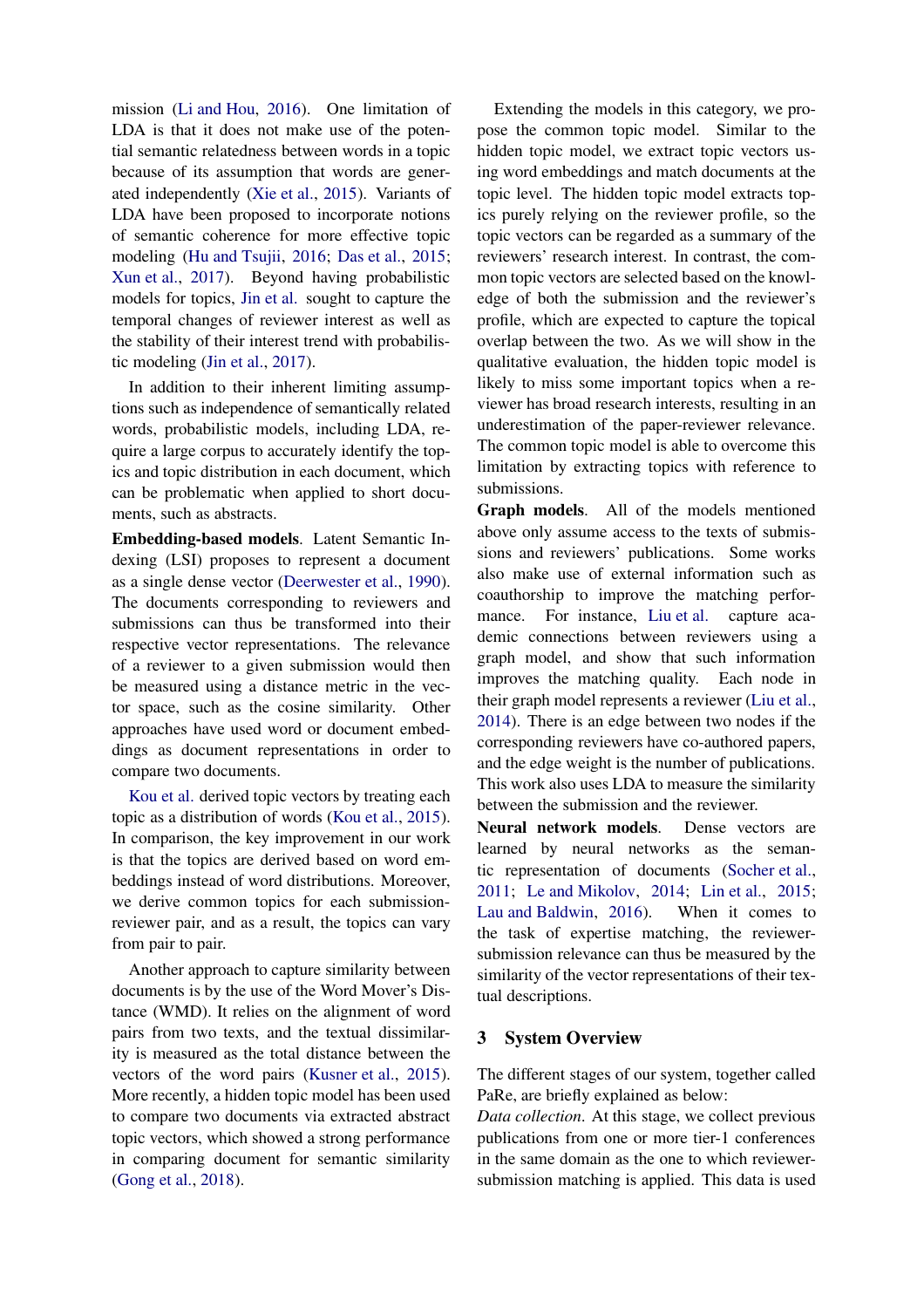mission [\(Li and Hou](#page-9-2), [2016\)](#page-9-2). One limitation of LDA is that it does not make use of the potential semantic relatedness between words in a topic because of its assumption that words are generated independently [\(Xie et al.](#page-10-3), [2015](#page-10-3)). Variants of LDA have been proposed to incorporate notions of semantic coherence for more effective topic modeling [\(Hu and Tsujii](#page-9-10), [2016](#page-9-10); [Das et al.](#page-9-11), [2015](#page-9-11); [Xun et al.,](#page-10-4) [2017](#page-10-4)). Beyond having probabilistic models for topics, [Jin et al.](#page-9-12) sought to capture the temporal changes of reviewer interest as well as the stability of their interest trend with probabilistic modeling [\(Jin et al.,](#page-9-12) [2017](#page-9-12)).

In addition to their inherent limiting assumptions such as independence of semantically related words, probabilistic models, including LDA, require a large corpus to accurately identify the topics and topic distribution in each document, which can be problematic when applied to short documents, such as abstracts.

Embedding-based models. Latent Semantic Indexing (LSI) proposes to represent a document as a single dense vector [\(Deerwester et al.](#page-9-13), [1990\)](#page-9-13). The documents corresponding to reviewers and submissions can thus be transformed into their respective vector representations. The relevance of a reviewer to a given submission would then be measured using a distance metric in the vector space, such as the cosine similarity. Other approaches have used word or document embeddings as document representations in order to compare two documents.

[Kou et al.](#page-9-14) derived topic vectors by treating each topic as a distribution of words [\(Kou et al.](#page-9-14), [2015\)](#page-9-14). In comparison, the key improvement in our work is that the topics are derived based on word embeddings instead of word distributions. Moreover, we derive common topics for each submissionreviewer pair, and as a result, the topics can vary from pair to pair.

Another approach to capture similarity between documents is by the use of the Word Mover's Distance (WMD). It relies on the alignment of word pairs from two texts, and the textual dissimilarity is measured as the total distance between the vectors of the word pairs [\(Kusner et al.](#page-9-15), [2015\)](#page-9-15). More recently, a hidden topic model has been used to compare two documents via extracted abstract topic vectors, which showed a strong performance in comparing document for semantic similarity [\(Gong et al.,](#page-9-4) [2018](#page-9-4)).

Extending the models in this category, we propose the common topic model. Similar to the hidden topic model, we extract topic vectors using word embeddings and match documents at the topic level. The hidden topic model extracts topics purely relying on the reviewer profile, so the topic vectors can be regarded as a summary of the reviewers' research interest. In contrast, the common topic vectors are selected based on the knowledge of both the submission and the reviewer's profile, which are expected to capture the topical overlap between the two. As we will show in the qualitative evaluation, the hidden topic model is likely to miss some important topics when a reviewer has broad research interests, resulting in an underestimation of the paper-reviewer relevance. The common topic model is able to overcome this limitation by extracting topics with reference to submissions.

Graph models. All of the models mentioned above only assume access to the texts of submissions and reviewers' publications. Some works also make use of external information such as coauthorship to improve the matching perfor-mance. For instance, [Liu et al.](#page-9-16) capture academic connections between reviewers using a graph model, and show that such information improves the matching quality. Each node in their graph model represents a reviewer [\(Liu et al.,](#page-9-16) [2014](#page-9-16)). There is an edge between two nodes if the corresponding reviewers have co-authored papers, and the edge weight is the number of publications. This work also uses LDA to measure the similarity between the submission and the reviewer.

Neural network models. Dense vectors are learned by neural networks as the semantic representation of documents [\(Socher et al.,](#page-10-5) [2011](#page-10-5); [Le and Mikolov](#page-9-17), [2014](#page-9-17); [Lin et al.,](#page-9-18) [2015](#page-9-18); [Lau and Baldwin](#page-9-19), [2016\)](#page-9-19). When it comes to the task of expertise matching, the reviewersubmission relevance can thus be measured by the similarity of the vector representations of their textual descriptions.

## 3 System Overview

The different stages of our system, together called PaRe, are briefly explained as below:

*Data collection*. At this stage, we collect previous publications from one or more tier-1 conferences in the same domain as the one to which reviewersubmission matching is applied. This data is used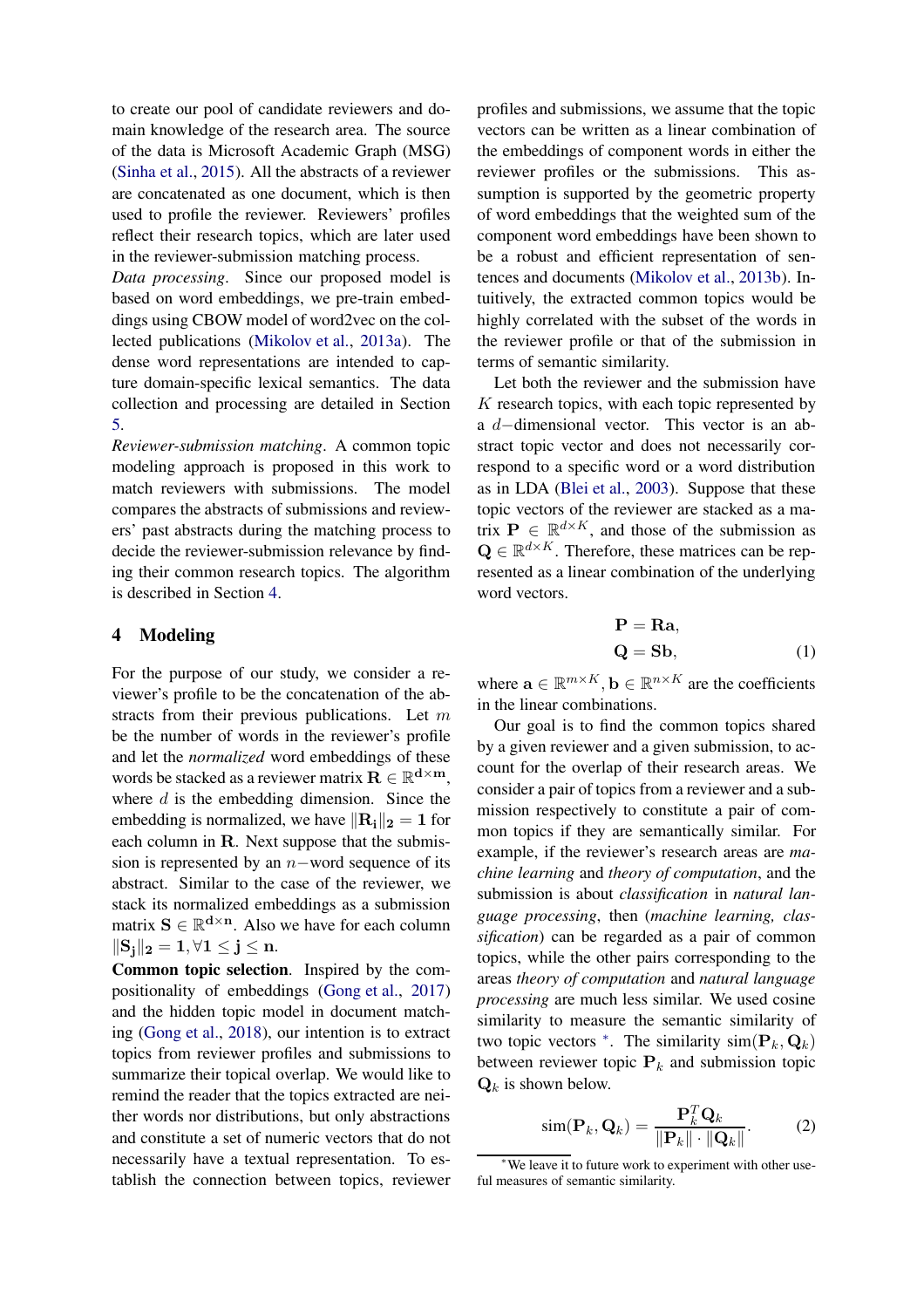to create our pool of candidate reviewers and domain knowledge of the research area. The source of the data is Microsoft Academic Graph (MSG) [\(Sinha et al.](#page-10-6), [2015](#page-10-6)). All the abstracts of a reviewer are concatenated as one document, which is then used to profile the reviewer. Reviewers' profiles reflect their research topics, which are later used in the reviewer-submission matching process.

*Data processing*. Since our proposed model is based on word embeddings, we pre-train embeddings using CBOW model of word2vec on the collected publications [\(Mikolov et al.](#page-9-20), [2013a](#page-9-20)). The dense word representations are intended to capture domain-specific lexical semantics. The data collection and processing are detailed in Section [5.](#page-5-0)

*Reviewer-submission matching*. A common topic modeling approach is proposed in this work to match reviewers with submissions. The model compares the abstracts of submissions and reviewers' past abstracts during the matching process to decide the reviewer-submission relevance by finding their common research topics. The algorithm is described in Section [4.](#page-3-0)

### <span id="page-3-0"></span>4 Modeling

For the purpose of our study, we consider a reviewer's profile to be the concatenation of the abstracts from their previous publications. Let m be the number of words in the reviewer's profile and let the *normalized* word embeddings of these words be stacked as a reviewer matrix  $\overline{\mathbf{R}} \in \mathbb{R}^{d \times m}$ , where  $d$  is the embedding dimension. Since the embedding is normalized, we have  $\|\mathbf{R_i}\|_2 = 1$  for each column in R. Next suppose that the submission is represented by an  $n$ −word sequence of its abstract. Similar to the case of the reviewer, we stack its normalized embeddings as a submission matrix  $S \in \mathbb{R}^{d \times n}$ . Also we have for each column  $\|\mathbf{S}_i\|_2 = 1, \forall 1 \leq j \leq n.$ 

Common topic selection. Inspired by the compositionality of embeddings [\(Gong et al.,](#page-9-21) [2017](#page-9-21)) and the hidden topic model in document matching [\(Gong et al.](#page-9-4), [2018\)](#page-9-4), our intention is to extract topics from reviewer profiles and submissions to summarize their topical overlap. We would like to remind the reader that the topics extracted are neither words nor distributions, but only abstractions and constitute a set of numeric vectors that do not necessarily have a textual representation. To establish the connection between topics, reviewer profiles and submissions, we assume that the topic vectors can be written as a linear combination of the embeddings of component words in either the reviewer profiles or the submissions. This assumption is supported by the geometric property of word embeddings that the weighted sum of the component word embeddings have been shown to be a robust and efficient representation of sentences and documents [\(Mikolov et al.](#page-9-3), [2013b](#page-9-3)). Intuitively, the extracted common topics would be highly correlated with the subset of the words in the reviewer profile or that of the submission in terms of semantic similarity.

Let both the reviewer and the submission have  $K$  research topics, with each topic represented by a d−dimensional vector. This vector is an abstract topic vector and does not necessarily correspond to a specific word or a word distribution as in LDA [\(Blei et al.,](#page-9-9) [2003\)](#page-9-9). Suppose that these topic vectors of the reviewer are stacked as a matrix  $\mathbf{P} \in \mathbb{R}^{d \times K}$ , and those of the submission as  $\mathbf{Q} \in \mathbb{R}^{d \times K}$ . Therefore, these matrices can be represented as a linear combination of the underlying word vectors.

<span id="page-3-1"></span>
$$
\mathbf{P} = \mathbf{Ra},
$$
  

$$
\mathbf{Q} = \mathbf{S}\mathbf{b},
$$
 (1)

where  $\mathbf{a} \in \mathbb{R}^{m \times K}$ ,  $\mathbf{b} \in \mathbb{R}^{n \times K}$  are the coefficients in the linear combinations.

Our goal is to find the common topics shared by a given reviewer and a given submission, to account for the overlap of their research areas. We consider a pair of topics from a reviewer and a submission respectively to constitute a pair of common topics if they are semantically similar. For example, if the reviewer's research areas are *machine learning* and *theory of computation*, and the submission is about *classification* in *natural language processing*, then (*machine learning, classification*) can be regarded as a pair of common topics, while the other pairs corresponding to the areas *theory of computation* and *natural language processing* are much less similar. We used cosine similarity to measure the semantic similarity of two topic vectors  $*$ . The similarity  $sim(\mathbf{P}_k, \mathbf{Q}_k)$ between reviewer topic  $P_k$  and submission topic  $\mathbf{Q}_k$  is shown below.

$$
\text{sim}(\mathbf{P}_k, \mathbf{Q}_k) = \frac{\mathbf{P}_k^T \mathbf{Q}_k}{\|\mathbf{P}_k\| \cdot \|\mathbf{Q}_k\|}. \tag{2}
$$

<sup>∗</sup>We leave it to future work to experiment with other useful measures of semantic similarity.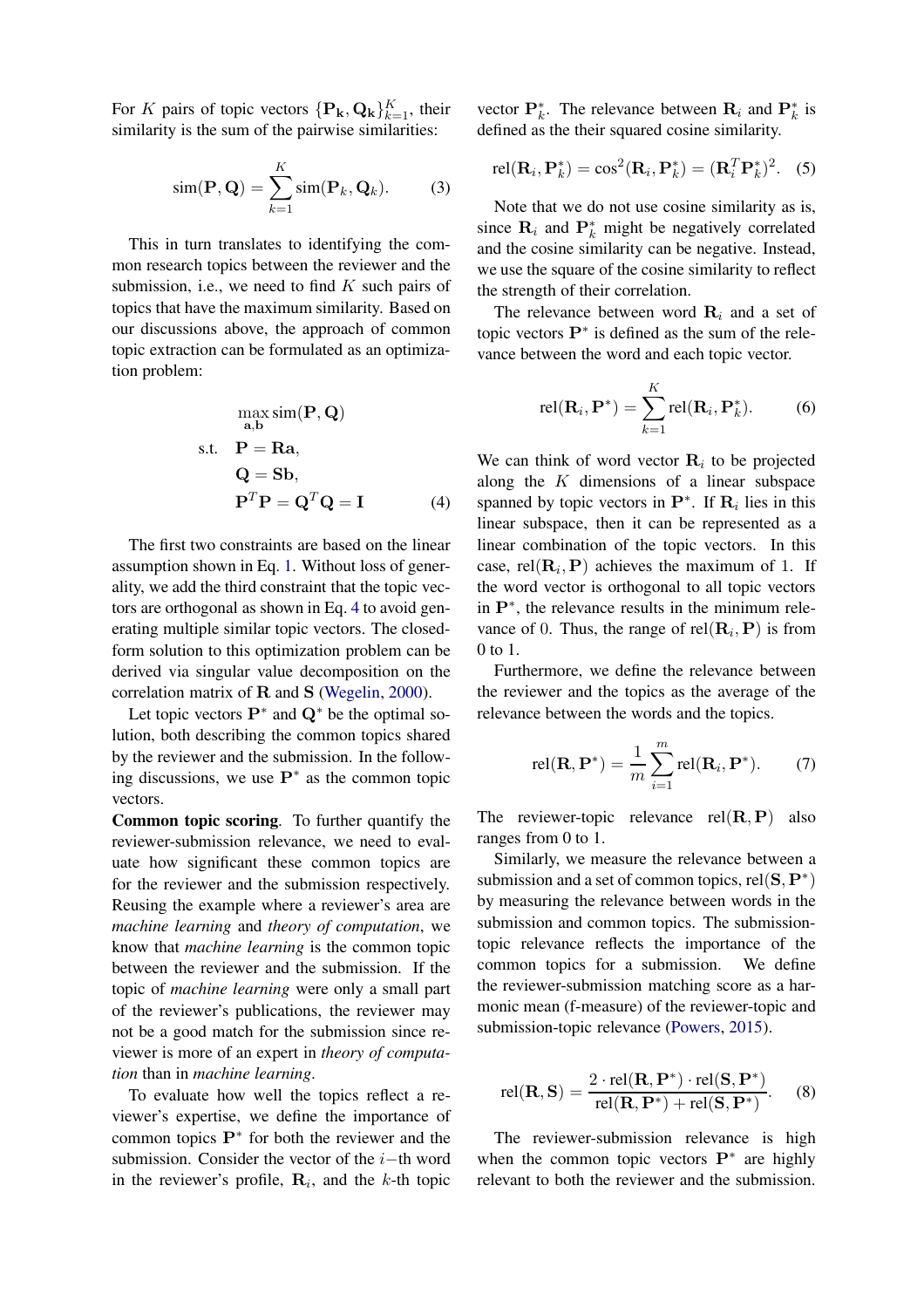For K pairs of topic vectors  $\{P_k, Q_k\}_{k=1}^K$ , their similarity is the sum of the pairwise similarities:

$$
\text{sim}(\mathbf{P}, \mathbf{Q}) = \sum_{k=1}^{K} \text{sim}(\mathbf{P}_k, \mathbf{Q}_k). \tag{3}
$$

This in turn translates to identifying the common research topics between the reviewer and the submission, i.e., we need to find  $K$  such pairs of topics that have the maximum similarity. Based on our discussions above, the approach of common topic extraction can be formulated as an optimization problem:

$$
\max_{\mathbf{a}, \mathbf{b}} \text{sim}(\mathbf{P}, \mathbf{Q})
$$
  
s.t.  $\mathbf{P} = \mathbf{Ra}$ ,  
 $\mathbf{Q} = \mathbf{S}\mathbf{b}$ ,  
 $\mathbf{P}^T \mathbf{P} = \mathbf{Q}^T \mathbf{Q} = \mathbf{I}$  (4)

The first two constraints are based on the linear assumption shown in Eq. [1.](#page-3-1) Without loss of generality, we add the third constraint that the topic vectors are orthogonal as shown in Eq. [4](#page-4-0) to avoid generating multiple similar topic vectors. The closedform solution to this optimization problem can be derived via singular value decomposition on the correlation matrix of R and S [\(Wegelin,](#page-10-7) [2000](#page-10-7)).

Let topic vectors  $\mathbf{P}^*$  and  $\mathbf{Q}^*$  be the optimal solution, both describing the common topics shared by the reviewer and the submission. In the following discussions, we use  $\mathbf{P}^*$  as the common topic vectors.

Common topic scoring. To further quantify the reviewer-submission relevance, we need to evaluate how significant these common topics are for the reviewer and the submission respectively. Reusing the example where a reviewer's area are *machine learning* and *theory of computation*, we know that *machine learning* is the common topic between the reviewer and the submission. If the topic of *machine learning* were only a small part of the reviewer's publications, the reviewer may not be a good match for the submission since reviewer is more of an expert in *theory of computation* than in *machine learning*.

To evaluate how well the topics reflect a reviewer's expertise, we define the importance of common topics  $\mathbf{P}^*$  for both the reviewer and the submission. Consider the vector of the  $i$ −th word in the reviewer's profile,  $\mathbf{R}_i$ , and the k-th topic

vector  $\mathbf{P}_k^*$ . The relevance between  $\mathbf{R}_i$  and  $\mathbf{P}_k^*$  is defined as the their squared cosine similarity.

$$
\text{rel}(\mathbf{R}_i, \mathbf{P}_k^*) = \cos^2(\mathbf{R}_i, \mathbf{P}_k^*) = (\mathbf{R}_i^T \mathbf{P}_k^*)^2. \quad (5)
$$

Note that we do not use cosine similarity as is, since  $\mathbf{R}_i$  and  $\mathbf{P}_k^*$  might be negatively correlated and the cosine similarity can be negative. Instead, we use the square of the cosine similarity to reflect the strength of their correlation.

The relevance between word  $\mathbf{R}_i$  and a set of topic vectors  $\mathbf{P}^*$  is defined as the sum of the relevance between the word and each topic vector.

$$
rel(\mathbf{R}_i, \mathbf{P}^*) = \sum_{k=1}^K rel(\mathbf{R}_i, \mathbf{P}_k^*).
$$
 (6)

<span id="page-4-0"></span>We can think of word vector  $\mathbf{R}_i$  to be projected along the  $K$  dimensions of a linear subspace spanned by topic vectors in  $\mathbf{P}^*$ . If  $\mathbf{R}_i$  lies in this linear subspace, then it can be represented as a linear combination of the topic vectors. In this case, rel $(\mathbf{R}_i, \mathbf{P})$  achieves the maximum of 1. If the word vector is orthogonal to all topic vectors in P<sup>∗</sup> , the relevance results in the minimum relevance of 0. Thus, the range of  $rel(R_i, P)$  is from 0 to 1.

Furthermore, we define the relevance between the reviewer and the topics as the average of the relevance between the words and the topics.

$$
rel(\mathbf{R}, \mathbf{P}^*) = \frac{1}{m} \sum_{i=1}^{m} rel(\mathbf{R}_i, \mathbf{P}^*).
$$
 (7)

The reviewer-topic relevance  $rel(R, P)$  also ranges from 0 to 1.

Similarly, we measure the relevance between a submission and a set of common topics, rel $({\bf S},{\bf P}^*)$ by measuring the relevance between words in the submission and common topics. The submissiontopic relevance reflects the importance of the common topics for a submission. We define the reviewer-submission matching score as a harmonic mean (f-measure) of the reviewer-topic and submission-topic relevance [\(Powers](#page-9-22), [2015](#page-9-22)).

$$
rel(\mathbf{R}, \mathbf{S}) = \frac{2 \cdot rel(\mathbf{R}, \mathbf{P}^*) \cdot rel(\mathbf{S}, \mathbf{P}^*)}{rel(\mathbf{R}, \mathbf{P}^*) + rel(\mathbf{S}, \mathbf{P}^*)}.
$$
 (8)

The reviewer-submission relevance is high when the common topic vectors  $\mathbf{P}^*$  are highly relevant to both the reviewer and the submission.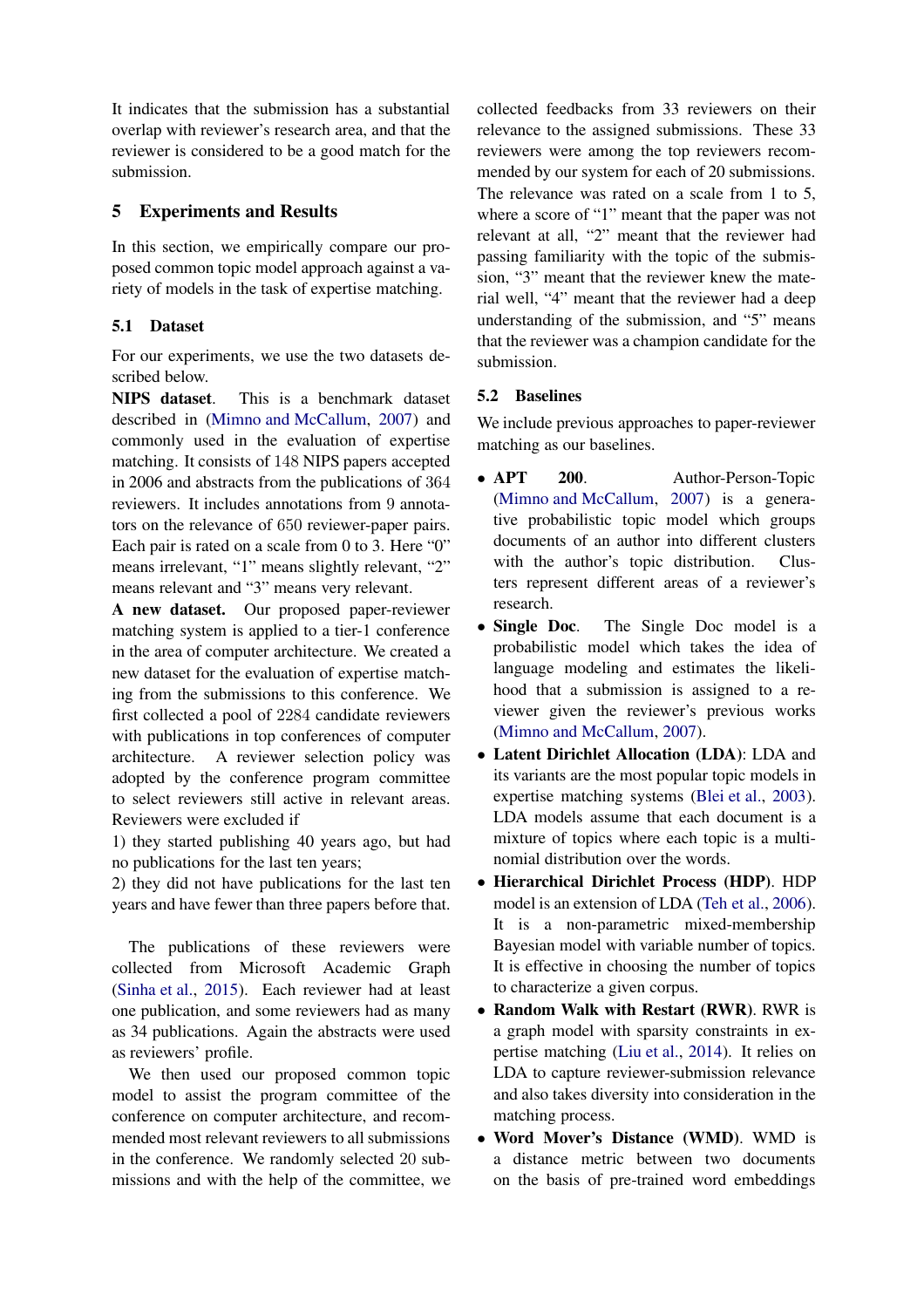It indicates that the submission has a substantial overlap with reviewer's research area, and that the reviewer is considered to be a good match for the submission.

## <span id="page-5-0"></span>5 Experiments and Results

In this section, we empirically compare our proposed common topic model approach against a variety of models in the task of expertise matching.

## 5.1 Dataset

For our experiments, we use the two datasets described below.

NIPS dataset. This is a benchmark dataset described in [\(Mimno and McCallum](#page-9-5), [2007\)](#page-9-5) and commonly used in the evaluation of expertise matching. It consists of 148 NIPS papers accepted in 2006 and abstracts from the publications of 364 reviewers. It includes annotations from 9 annotators on the relevance of 650 reviewer-paper pairs. Each pair is rated on a scale from 0 to 3. Here "0" means irrelevant, "1" means slightly relevant, "2" means relevant and "3" means very relevant.

A new dataset. Our proposed paper-reviewer matching system is applied to a tier-1 conference in the area of computer architecture. We created a new dataset for the evaluation of expertise matching from the submissions to this conference. We first collected a pool of 2284 candidate reviewers with publications in top conferences of computer architecture. A reviewer selection policy was adopted by the conference program committee to select reviewers still active in relevant areas. Reviewers were excluded if

1) they started publishing 40 years ago, but had no publications for the last ten years;

2) they did not have publications for the last ten years and have fewer than three papers before that.

The publications of these reviewers were collected from Microsoft Academic Graph [\(Sinha et al.](#page-10-6), [2015](#page-10-6)). Each reviewer had at least one publication, and some reviewers had as many as 34 publications. Again the abstracts were used as reviewers' profile.

We then used our proposed common topic model to assist the program committee of the conference on computer architecture, and recommended most relevant reviewers to all submissions in the conference. We randomly selected 20 submissions and with the help of the committee, we collected feedbacks from 33 reviewers on their relevance to the assigned submissions. These 33 reviewers were among the top reviewers recommended by our system for each of 20 submissions. The relevance was rated on a scale from 1 to 5, where a score of "1" meant that the paper was not relevant at all, "2" meant that the reviewer had passing familiarity with the topic of the submission, "3" meant that the reviewer knew the material well, "4" meant that the reviewer had a deep understanding of the submission, and "5" means that the reviewer was a champion candidate for the submission.

## 5.2 Baselines

We include previous approaches to paper-reviewer matching as our baselines.

- APT 200. Author-Person-Topic [\(Mimno and McCallum](#page-9-5), [2007](#page-9-5)) is a generative probabilistic topic model which groups documents of an author into different clusters with the author's topic distribution. Clusters represent different areas of a reviewer's research.
- Single Doc. The Single Doc model is a probabilistic model which takes the idea of language modeling and estimates the likelihood that a submission is assigned to a reviewer given the reviewer's previous works [\(Mimno and McCallum](#page-9-5), [2007](#page-9-5)).
- Latent Dirichlet Allocation (LDA): LDA and its variants are the most popular topic models in expertise matching systems [\(Blei et al.](#page-9-9), [2003](#page-9-9)). LDA models assume that each document is a mixture of topics where each topic is a multinomial distribution over the words.
- Hierarchical Dirichlet Process (HDP). HDP model is an extension of LDA [\(Teh et al.](#page-10-8), [2006](#page-10-8)). It is a non-parametric mixed-membership Bayesian model with variable number of topics. It is effective in choosing the number of topics to characterize a given corpus.
- Random Walk with Restart (RWR). RWR is a graph model with sparsity constraints in expertise matching [\(Liu et al.](#page-9-16), [2014](#page-9-16)). It relies on LDA to capture reviewer-submission relevance and also takes diversity into consideration in the matching process.
- Word Mover's Distance (WMD). WMD is a distance metric between two documents on the basis of pre-trained word embeddings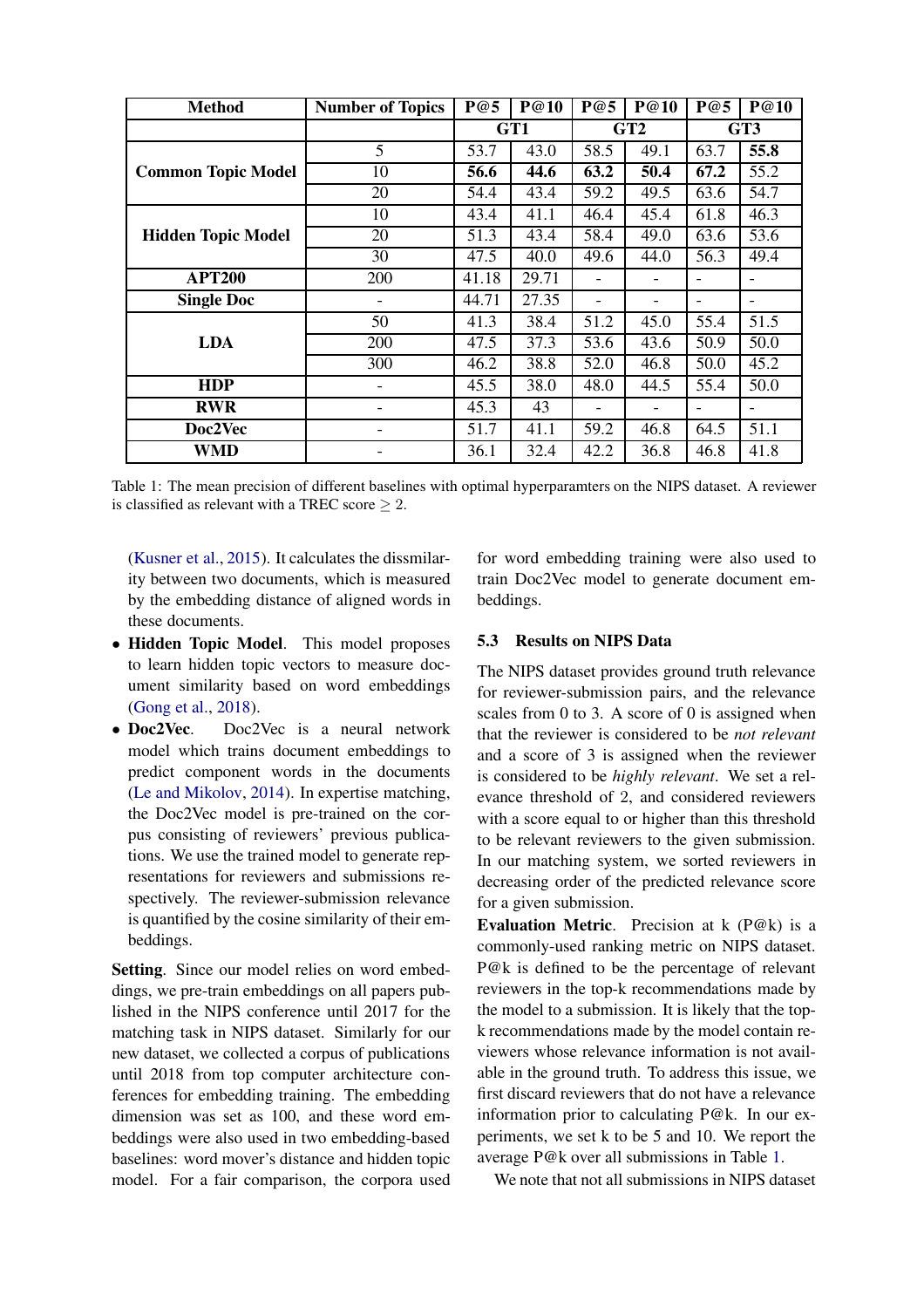<span id="page-6-0"></span>

| <b>Method</b>             | <b>Number of Topics</b> | P@5   | P@10  | P@5  | P@10 | P@5  | P@10 |
|---------------------------|-------------------------|-------|-------|------|------|------|------|
|                           |                         |       | GT1   | GT2  |      | GT3  |      |
|                           | 5                       | 53.7  | 43.0  | 58.5 | 49.1 | 63.7 | 55.8 |
| <b>Common Topic Model</b> | 10                      | 56.6  | 44.6  | 63.2 | 50.4 | 67.2 | 55.2 |
|                           | 20                      | 54.4  | 43.4  | 59.2 | 49.5 | 63.6 | 54.7 |
|                           | 10                      | 43.4  | 41.1  | 46.4 | 45.4 | 61.8 | 46.3 |
| <b>Hidden Topic Model</b> | 20                      | 51.3  | 43.4  | 58.4 | 49.0 | 63.6 | 53.6 |
|                           | 30                      | 47.5  | 40.0  | 49.6 | 44.0 | 56.3 | 49.4 |
| <b>APT200</b>             | 200                     | 41.18 | 29.71 |      |      |      | -    |
| <b>Single Doc</b>         |                         | 44.71 | 27.35 |      |      |      |      |
|                           | 50                      | 41.3  | 38.4  | 51.2 | 45.0 | 55.4 | 51.5 |
| <b>LDA</b>                | 200                     | 47.5  | 37.3  | 53.6 | 43.6 | 50.9 | 50.0 |
|                           | 300                     | 46.2  | 38.8  | 52.0 | 46.8 | 50.0 | 45.2 |
| <b>HDP</b>                | -                       | 45.5  | 38.0  | 48.0 | 44.5 | 55.4 | 50.0 |
| <b>RWR</b>                |                         | 45.3  | 43    |      |      |      |      |
| Doc2Vec                   |                         | 51.7  | 41.1  | 59.2 | 46.8 | 64.5 | 51.1 |
| WMD                       |                         | 36.1  | 32.4  | 42.2 | 36.8 | 46.8 | 41.8 |

Table 1: The mean precision of different baselines with optimal hyperparamters on the NIPS dataset. A reviewer is classified as relevant with a TREC score  $\geq 2$ .

[\(Kusner et al.](#page-9-15), [2015](#page-9-15)). It calculates the dissmilarity between two documents, which is measured by the embedding distance of aligned words in these documents.

- Hidden Topic Model. This model proposes to learn hidden topic vectors to measure document similarity based on word embeddings [\(Gong et al.](#page-9-4), [2018](#page-9-4)).
- Doc2Vec. Doc2Vec is a neural network model which trains document embeddings to predict component words in the documents [\(Le and Mikolov](#page-9-17), [2014](#page-9-17)). In expertise matching, the Doc2Vec model is pre-trained on the corpus consisting of reviewers' previous publications. We use the trained model to generate representations for reviewers and submissions respectively. The reviewer-submission relevance is quantified by the cosine similarity of their embeddings.

Setting. Since our model relies on word embeddings, we pre-train embeddings on all papers published in the NIPS conference until 2017 for the matching task in NIPS dataset. Similarly for our new dataset, we collected a corpus of publications until 2018 from top computer architecture conferences for embedding training. The embedding dimension was set as 100, and these word embeddings were also used in two embedding-based baselines: word mover's distance and hidden topic model. For a fair comparison, the corpora used

for word embedding training were also used to train Doc2Vec model to generate document embeddings.

#### 5.3 Results on NIPS Data

The NIPS dataset provides ground truth relevance for reviewer-submission pairs, and the relevance scales from 0 to 3. A score of 0 is assigned when that the reviewer is considered to be *not relevant* and a score of 3 is assigned when the reviewer is considered to be *highly relevant*. We set a relevance threshold of 2, and considered reviewers with a score equal to or higher than this threshold to be relevant reviewers to the given submission. In our matching system, we sorted reviewers in decreasing order of the predicted relevance score for a given submission.

Evaluation Metric. Precision at k (P@k) is a commonly-used ranking metric on NIPS dataset. P@k is defined to be the percentage of relevant reviewers in the top-k recommendations made by the model to a submission. It is likely that the topk recommendations made by the model contain reviewers whose relevance information is not available in the ground truth. To address this issue, we first discard reviewers that do not have a relevance information prior to calculating P@k. In our experiments, we set k to be 5 and 10. We report the average P@k over all submissions in Table [1.](#page-6-0)

We note that not all submissions in NIPS dataset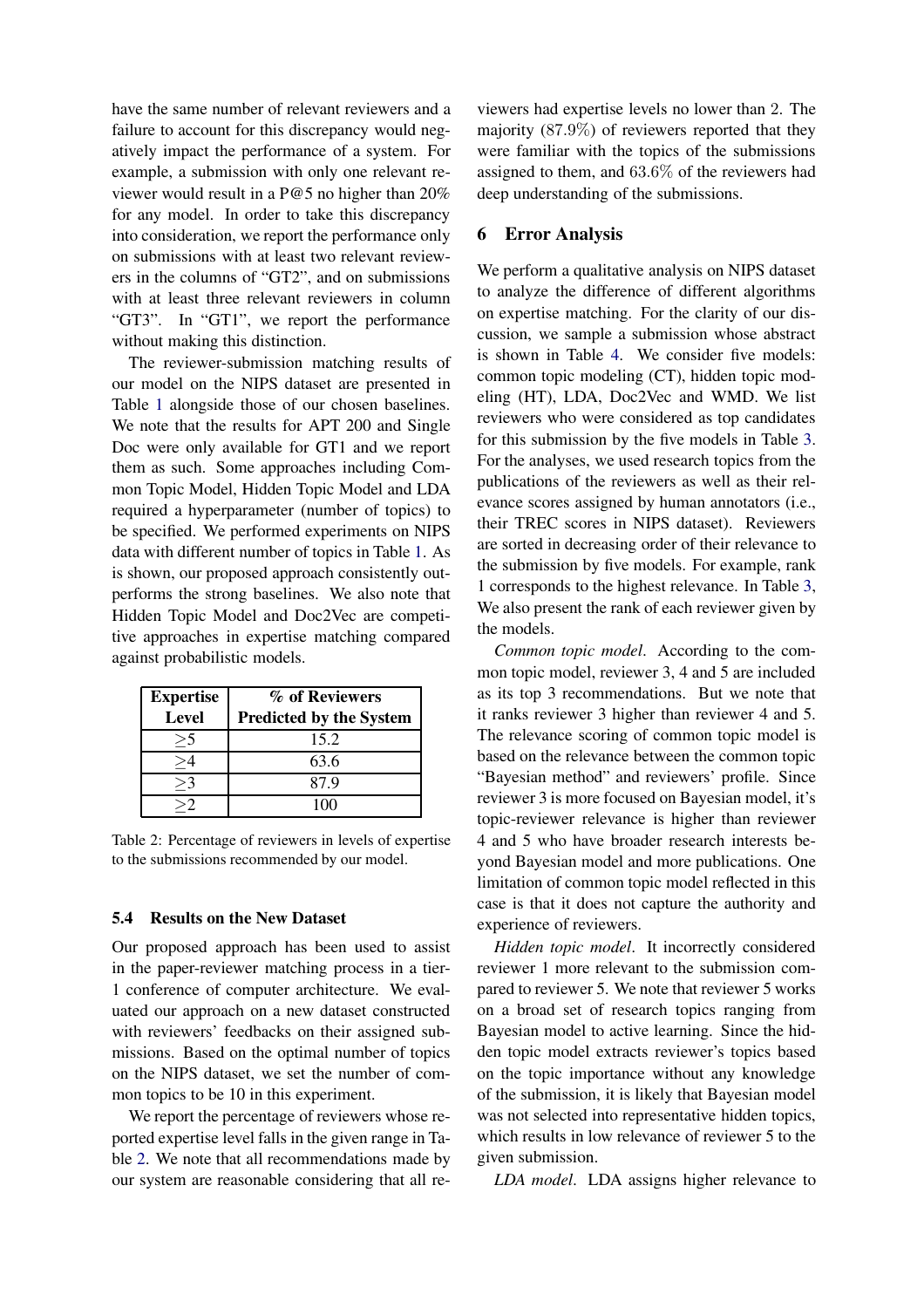have the same number of relevant reviewers and a failure to account for this discrepancy would negatively impact the performance of a system. For example, a submission with only one relevant reviewer would result in a P@5 no higher than 20% for any model. In order to take this discrepancy into consideration, we report the performance only on submissions with at least two relevant reviewers in the columns of "GT2", and on submissions with at least three relevant reviewers in column "GT3". In "GT1", we report the performance without making this distinction.

The reviewer-submission matching results of our model on the NIPS dataset are presented in Table [1](#page-6-0) alongside those of our chosen baselines. We note that the results for APT 200 and Single Doc were only available for GT1 and we report them as such. Some approaches including Common Topic Model, Hidden Topic Model and LDA required a hyperparameter (number of topics) to be specified. We performed experiments on NIPS data with different number of topics in Table [1.](#page-6-0) As is shown, our proposed approach consistently outperforms the strong baselines. We also note that Hidden Topic Model and Doc2Vec are competitive approaches in expertise matching compared against probabilistic models.

<span id="page-7-0"></span>

| <b>Expertise</b> | % of Reviewers                 |  |  |  |  |
|------------------|--------------------------------|--|--|--|--|
| <b>Level</b>     | <b>Predicted by the System</b> |  |  |  |  |
| >                | 15.2                           |  |  |  |  |
|                  | 63.6                           |  |  |  |  |
| $>$ 3            | 87.9                           |  |  |  |  |
|                  |                                |  |  |  |  |

Table 2: Percentage of reviewers in levels of expertise to the submissions recommended by our model.

#### 5.4 Results on the New Dataset

Our proposed approach has been used to assist in the paper-reviewer matching process in a tier-1 conference of computer architecture. We evaluated our approach on a new dataset constructed with reviewers' feedbacks on their assigned submissions. Based on the optimal number of topics on the NIPS dataset, we set the number of common topics to be 10 in this experiment.

We report the percentage of reviewers whose reported expertise level falls in the given range in Table [2.](#page-7-0) We note that all recommendations made by our system are reasonable considering that all reviewers had expertise levels no lower than 2. The majority (87.9%) of reviewers reported that they were familiar with the topics of the submissions assigned to them, and 63.6% of the reviewers had deep understanding of the submissions.

### 6 Error Analysis

We perform a qualitative analysis on NIPS dataset to analyze the difference of different algorithms on expertise matching. For the clarity of our discussion, we sample a submission whose abstract is shown in Table [4.](#page-8-3) We consider five models: common topic modeling (CT), hidden topic modeling (HT), LDA, Doc2Vec and WMD. We list reviewers who were considered as top candidates for this submission by the five models in Table [3.](#page-8-4) For the analyses, we used research topics from the publications of the reviewers as well as their relevance scores assigned by human annotators (i.e., their TREC scores in NIPS dataset). Reviewers are sorted in decreasing order of their relevance to the submission by five models. For example, rank 1 corresponds to the highest relevance. In Table [3,](#page-8-4) We also present the rank of each reviewer given by the models.

*Common topic model*. According to the common topic model, reviewer 3, 4 and 5 are included as its top 3 recommendations. But we note that it ranks reviewer 3 higher than reviewer 4 and 5. The relevance scoring of common topic model is based on the relevance between the common topic "Bayesian method" and reviewers' profile. Since reviewer 3 is more focused on Bayesian model, it's topic-reviewer relevance is higher than reviewer 4 and 5 who have broader research interests beyond Bayesian model and more publications. One limitation of common topic model reflected in this case is that it does not capture the authority and experience of reviewers.

*Hidden topic model*. It incorrectly considered reviewer 1 more relevant to the submission compared to reviewer 5. We note that reviewer 5 works on a broad set of research topics ranging from Bayesian model to active learning. Since the hidden topic model extracts reviewer's topics based on the topic importance without any knowledge of the submission, it is likely that Bayesian model was not selected into representative hidden topics, which results in low relevance of reviewer 5 to the given submission.

*LDA model*. LDA assigns higher relevance to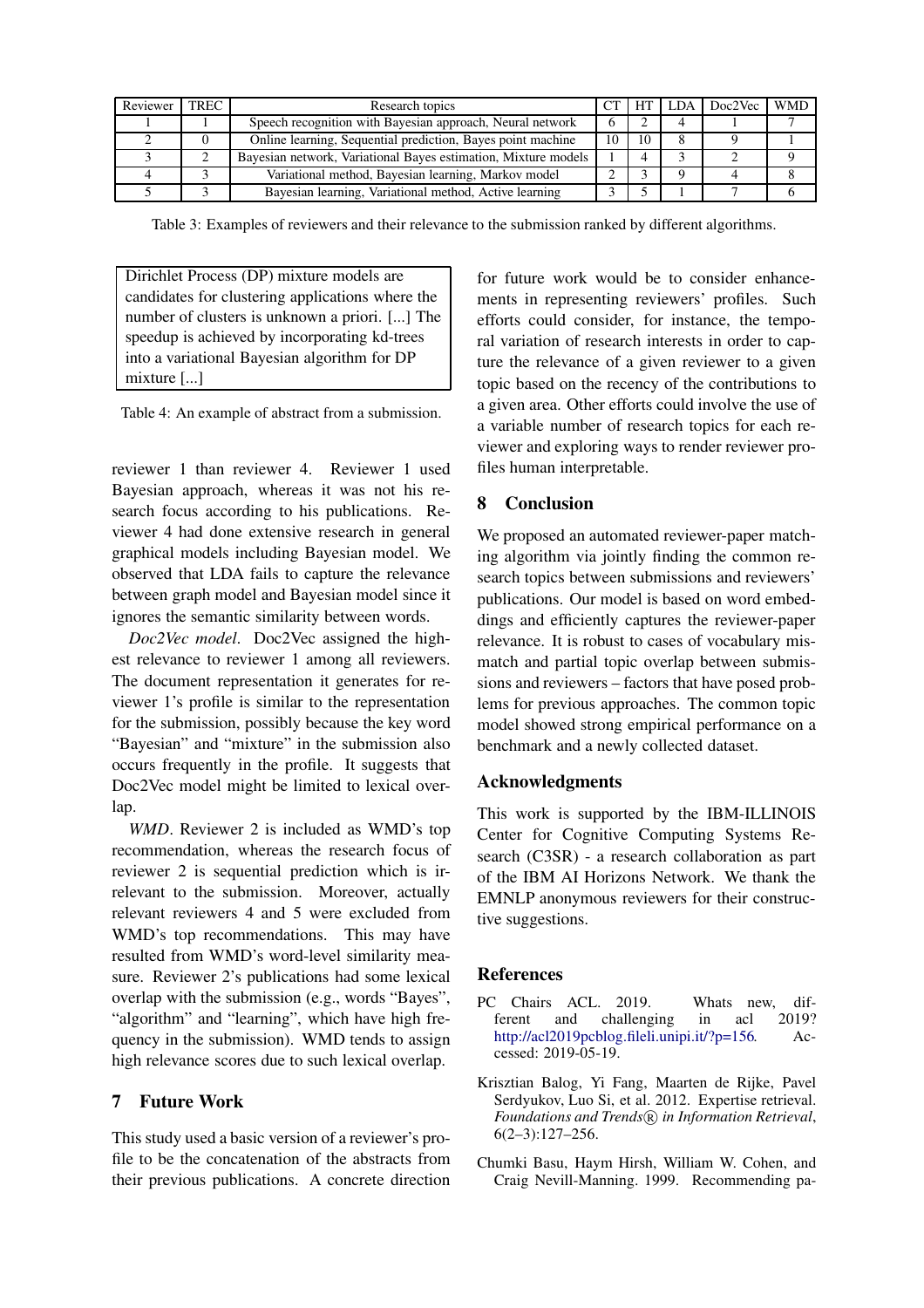<span id="page-8-4"></span>

| Reviewer | <b>TREC</b> | Research topics                                                |    | HT | LDA | Doc2Vec | <b>WMD</b> |
|----------|-------------|----------------------------------------------------------------|----|----|-----|---------|------------|
|          |             | Speech recognition with Bayesian approach, Neural network      |    |    |     |         |            |
|          |             | Online learning, Sequential prediction, Bayes point machine    | 10 | 10 |     |         |            |
|          |             | Bayesian network, Variational Bayes estimation, Mixture models |    |    |     |         |            |
|          |             | Variational method, Bayesian learning, Markov model            |    |    |     |         |            |
|          |             | Bayesian learning, Variational method, Active learning         |    |    |     |         |            |

Table 3: Examples of reviewers and their relevance to the submission ranked by different algorithms.

<span id="page-8-3"></span>Dirichlet Process (DP) mixture models are candidates for clustering applications where the number of clusters is unknown a priori. [...] The speedup is achieved by incorporating kd-trees into a variational Bayesian algorithm for DP mixture [...]

Table 4: An example of abstract from a submission.

reviewer 1 than reviewer 4. Reviewer 1 used Bayesian approach, whereas it was not his research focus according to his publications. Reviewer 4 had done extensive research in general graphical models including Bayesian model. We observed that LDA fails to capture the relevance between graph model and Bayesian model since it ignores the semantic similarity between words.

*Doc2Vec model*. Doc2Vec assigned the highest relevance to reviewer 1 among all reviewers. The document representation it generates for reviewer 1's profile is similar to the representation for the submission, possibly because the key word "Bayesian" and "mixture" in the submission also occurs frequently in the profile. It suggests that Doc2Vec model might be limited to lexical overlap.

*WMD*. Reviewer 2 is included as WMD's top recommendation, whereas the research focus of reviewer 2 is sequential prediction which is irrelevant to the submission. Moreover, actually relevant reviewers 4 and 5 were excluded from WMD's top recommendations. This may have resulted from WMD's word-level similarity measure. Reviewer 2's publications had some lexical overlap with the submission (e.g., words "Bayes", "algorithm" and "learning", which have high frequency in the submission). WMD tends to assign high relevance scores due to such lexical overlap.

## 7 Future Work

This study used a basic version of a reviewer's profile to be the concatenation of the abstracts from their previous publications. A concrete direction for future work would be to consider enhancements in representing reviewers' profiles. Such efforts could consider, for instance, the temporal variation of research interests in order to capture the relevance of a given reviewer to a given topic based on the recency of the contributions to a given area. Other efforts could involve the use of a variable number of research topics for each reviewer and exploring ways to render reviewer profiles human interpretable.

## 8 Conclusion

We proposed an automated reviewer-paper matching algorithm via jointly finding the common research topics between submissions and reviewers' publications. Our model is based on word embeddings and efficiently captures the reviewer-paper relevance. It is robust to cases of vocabulary mismatch and partial topic overlap between submissions and reviewers – factors that have posed problems for previous approaches. The common topic model showed strong empirical performance on a benchmark and a newly collected dataset.

## Acknowledgments

This work is supported by the IBM-ILLINOIS Center for Cognitive Computing Systems Research (C3SR) - a research collaboration as part of the IBM AI Horizons Network. We thank the EMNLP anonymous reviewers for their constructive suggestions.

## References

- <span id="page-8-0"></span>PC Chairs ACL. 2019. Whats new, different and challenging in acl 2019? [http://acl2019pcblog.fileli.unipi.it/?p=156.](http://acl2019pcblog.fileli.unipi.it/?p=156) Accessed: 2019-05-19.
- <span id="page-8-1"></span>Krisztian Balog, Yi Fang, Maarten de Rijke, Pavel Serdyukov, Luo Si, et al. 2012. Expertise retrieval. Foundations and Trends<sup>(R)</sup> in Information Retrieval, 6(2–3):127–256.
- <span id="page-8-2"></span>Chumki Basu, Haym Hirsh, William W. Cohen, and Craig Nevill-Manning. 1999. Recommending pa-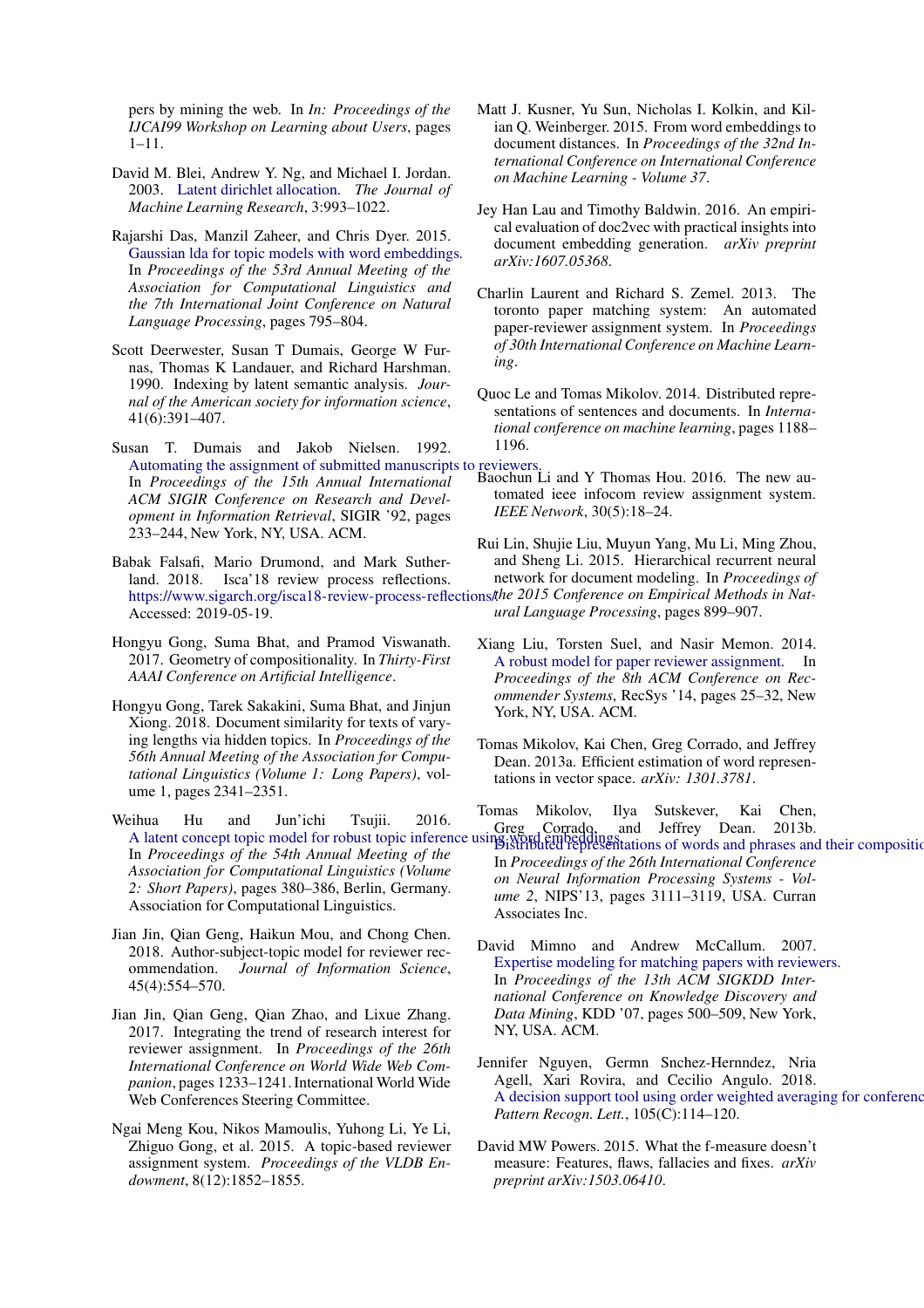pers by mining the web. In *In: Proceedings of the IJCAI99 Workshop on Learning about Users*, pages 1–11.

- <span id="page-9-9"></span>David M. Blei, Andrew Y. Ng, and Michael I. Jordan. 2003. [Latent dirichlet allocation.](http://dl.acm.org/citation.cfm?id=944919.944937) *The Journal of Machine Learning Research*, 3:993–1022.
- <span id="page-9-11"></span>Rajarshi Das, Manzil Zaheer, and Chris Dyer. 2015. [Gaussian lda for topic models with word embeddings.](https://doi.org/10.3115/v1/P15-1077) In *Proceedings of the 53rd Annual Meeting of the Association for Computational Linguistics and the 7th International Joint Conference on Natural Language Processing*, pages 795–804.
- <span id="page-9-13"></span>Scott Deerwester, Susan T Dumais, George W Furnas, Thomas K Landauer, and Richard Harshman. 1990. Indexing by latent semantic analysis. *Journal of the American society for information science*, 41(6):391–407.
- <span id="page-9-6"></span>Susan T. Dumais and Jakob Nielsen. 1992. [Automating the assignment of submitted manuscripts to reviewers.](https://doi.org/10.1145/133160.133205)<br>In *Proceedings of the 15th Annual International* Baochun Li and Y Thomas Hou. 2016. The new au-In *Proceedings of the 15th Annual International ACM SIGIR Conference on Research and Development in Information Retrieval*, SIGIR '92, pages 233–244, New York, NY, USA. ACM.
- <span id="page-9-0"></span>Babak Falsafi, Mario Drumond, and Mark Sutherland. 2018. Isca'18 review process reflections. https://www.sigarch.org/isca18-review-process-reflections/the 2015 Conference on Empirical Methods in Nat-Accessed: 2019-05-19.
- <span id="page-9-21"></span>Hongyu Gong, Suma Bhat, and Pramod Viswanath. 2017. Geometry of compositionality. In *Thirty-First AAAI Conference on Artificial Intelligence*.
- <span id="page-9-4"></span>Hongyu Gong, Tarek Sakakini, Suma Bhat, and Jinjun Xiong. 2018. Document similarity for texts of varying lengths via hidden topics. In *Proceedings of the 56th Annual Meeting of the Association for Computational Linguistics (Volume 1: Long Papers)*, volume 1, pages 2341–2351.
- <span id="page-9-10"></span>Weihua Hu and Jun'ichi Tsujii. 2016. A latent concept topic model for robust topic inference using word embeddings, and Jeffrey Dean. 2013b.<br>A latent concept topic model for robust topic inference using word embeddings, totions of words and phrases an In *Proceedings of the 54th Annual Meeting of the Association for Computational Linguistics (Volume 2: Short Papers)*, pages 380–386, Berlin, Germany. Association for Computational Linguistics.
- <span id="page-9-7"></span>Jian Jin, Qian Geng, Haikun Mou, and Chong Chen. 2018. Author-subject-topic model for reviewer recommendation. *Journal of Information Science*, 45(4):554–570.
- <span id="page-9-12"></span>Jian Jin, Qian Geng, Qian Zhao, and Lixue Zhang. 2017. Integrating the trend of research interest for reviewer assignment. In *Proceedings of the 26th International Conference on World Wide Web Companion*, pages 1233–1241. International World Wide Web Conferences Steering Committee.
- <span id="page-9-14"></span>Ngai Meng Kou, Nikos Mamoulis, Yuhong Li, Ye Li, Zhiguo Gong, et al. 2015. A topic-based reviewer assignment system. *Proceedings of the VLDB Endowment*, 8(12):1852–1855.
- <span id="page-9-15"></span>Matt J. Kusner, Yu Sun, Nicholas I. Kolkin, and Kilian Q. Weinberger. 2015. From word embeddings to document distances. In *Proceedings of the 32nd International Conference on International Conference on Machine Learning - Volume 37*.
- <span id="page-9-19"></span>Jey Han Lau and Timothy Baldwin. 2016. An empirical evaluation of doc2vec with practical insights into document embedding generation. *arXiv preprint arXiv:1607.05368*.
- <span id="page-9-1"></span>Charlin Laurent and Richard S. Zemel. 2013. The toronto paper matching system: An automated paper-reviewer assignment system. In *Proceedings of 30th International Conference on Machine Learning*.
- <span id="page-9-17"></span>Quoc Le and Tomas Mikolov. 2014. Distributed representations of sentences and documents. In *International conference on machine learning*, pages 1188– 1196.
- <span id="page-9-2"></span>tomated ieee infocom review assignment system. *IEEE Network*, 30(5):18–24.
- <span id="page-9-18"></span>Rui Lin, Shujie Liu, Muyun Yang, Mu Li, Ming Zhou, and Sheng Li. 2015. Hierarchical recurrent neural network for document modeling. In *Proceedings of*

*ural Language Processing*, pages 899–907.

- <span id="page-9-16"></span>Xiang Liu, Torsten Suel, and Nasir Memon. 2014. [A robust model for paper reviewer assignment.](https://doi.org/10.1145/2645710.2645749) In *Proceedings of the 8th ACM Conference on Recommender Systems*, RecSys '14, pages 25–32, New York, NY, USA. ACM.
- <span id="page-9-20"></span>Tomas Mikolov, Kai Chen, Greg Corrado, and Jeffrey Dean. 2013a. Efficient estimation of word representations in vector space. *arXiv: 1301.3781*.

<span id="page-9-3"></span>Tomas Mikolov, Ilya Sutskever, Kai Chen,

[Distributed representations of words and phrases and their](http://dl.acm.org/citation.cfm?id=2999792.2999959) compositionality. In *Proceedings of the 26th International Conference on Neural Information Processing Systems - Volume 2*, NIPS'13, pages 3111–3119, USA. Curran Associates Inc.

- <span id="page-9-5"></span>David Mimno and Andrew McCallum. 2007. [Expertise modeling for matching papers with reviewers.](https://doi.org/10.1145/1281192.1281247) In *Proceedings of the 13th ACM SIGKDD International Conference on Knowledge Discovery and Data Mining*, KDD '07, pages 500–509, New York, NY, USA. ACM.
- <span id="page-9-8"></span>Jennifer Nguyen, Germn Snchez-Hernndez, Nria Agell, Xari Rovira, and Cecilio Angulo. 2018. A decision support tool using order weighted averaging for conference *Pattern Recogn. Lett.*, 105(C):114–120.
- <span id="page-9-22"></span>David MW Powers. 2015. What the f-measure doesn't measure: Features, flaws, fallacies and fixes. *arXiv preprint arXiv:1503.06410*.